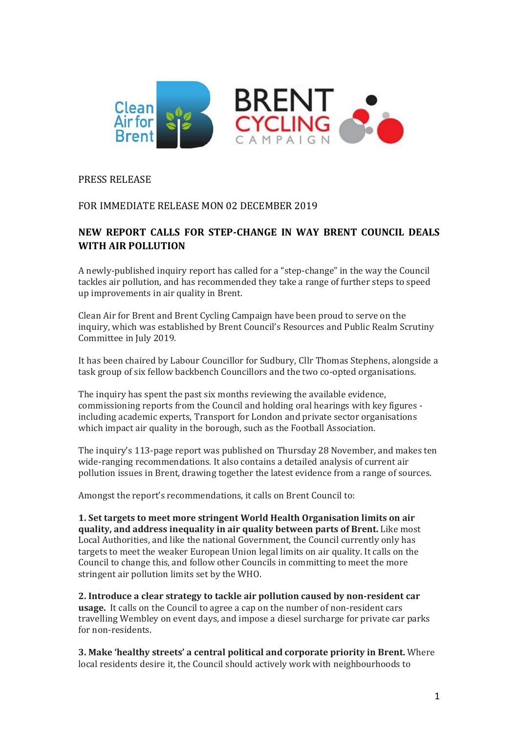

# PRESS RELEASE

# FOR IMMEDIATE RELEASE MON 02 DECEMBER 2019

# **NEW REPORT CALLS FOR STEP-CHANGE IN WAY BRENT COUNCIL DEALS WITH AIR POLLUTION**

A newly-published inquiry report has called for a "step-change" in the way the Council tackles air pollution, and has recommended they take a range of further steps to speed up improvements in air quality in Brent.

Clean Air for Brent and Brent Cycling Campaign have been proud to serve on the inquiry, which was established by Brent Council's Resources and Public Realm Scrutiny Committee in July 2019.

It has been chaired by Labour Councillor for Sudbury, Cllr Thomas Stephens, alongside a task group of six fellow backbench Councillors and the two co-opted organisations.

The inquiry has spent the past six months reviewing the available evidence, commissioning reports from the Council and holding oral hearings with key figures including academic experts, Transport for London and private sector organisations which impact air quality in the borough, such as the Football Association.

The inquiry's 113-page report was published on Thursday 28 November, and makes ten wide-ranging recommendations. It also contains a detailed analysis of current air pollution issues in Brent, drawing together the latest evidence from a range of sources.

Amongst the report's recommendations, it calls on Brent Council to:

**1. Set targets to meet more stringent World Health Organisation limits on air quality, and address inequality in air quality between parts of Brent.** Like most Local Authorities, and like the national Government, the Council currently only has targets to meet the weaker European Union legal limits on air quality. It calls on the Council to change this, and follow other Councils in committing to meet the more stringent air pollution limits set by the WHO.

**2. Introduce a clear strategy to tackle air pollution caused by non-resident car usage.** It calls on the Council to agree a cap on the number of non-resident cars travelling Wembley on event days, and impose a diesel surcharge for private car parks for non-residents.

**3. Make 'healthy streets' a central political and corporate priority in Brent.** Where local residents desire it, the Council should actively work with neighbourhoods to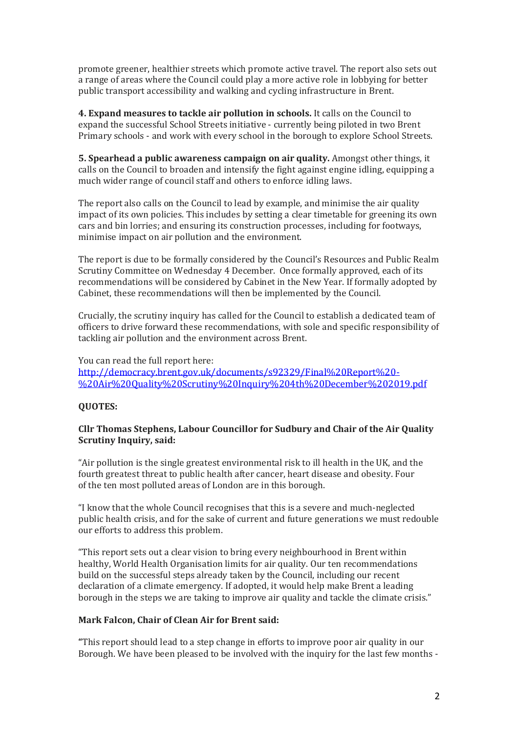promote greener, healthier streets which promote active travel. The report also sets out a range of areas where the Council could play a more active role in lobbying for better public transport accessibility and walking and cycling infrastructure in Brent.

**4. Expand measures to tackle air pollution in schools.** It calls on the Council to expand the successful School Streets initiative - currently being piloted in two Brent Primary schools - and work with every school in the borough to explore School Streets.

**5. Spearhead a public awareness campaign on air quality.** Amongst other things, it calls on the Council to broaden and intensify the fight against engine idling, equipping a much wider range of council staff and others to enforce idling laws.

The report also calls on the Council to lead by example, and minimise the air quality impact of its own policies. This includes by setting a clear timetable for greening its own cars and bin lorries; and ensuring its construction processes, including for footways, minimise impact on air pollution and the environment.

The report is due to be formally considered by the Council's Resources and Public Realm Scrutiny Committee on Wednesday 4 December. Once formally approved, each of its recommendations will be considered by Cabinet in the New Year. If formally adopted by Cabinet, these recommendations will then be implemented by the Council.

Crucially, the scrutiny inquiry has called for the Council to establish a dedicated team of officers to drive forward these recommendations, with sole and specific responsibility of tackling air pollution and the environment across Brent.

You can read the full report here: [http://democracy.brent.gov.uk/documents/s92329/Final%20Report%20-](http://democracy.brent.gov.uk/documents/s92329/Final%20Report%20-%20Air%20Quality%20Scrutiny%20Inquiry%204th%20December%202019.pdf) [%20Air%20Quality%20Scrutiny%20Inquiry%204th%20December%202019.pdf](http://democracy.brent.gov.uk/documents/s92329/Final%20Report%20-%20Air%20Quality%20Scrutiny%20Inquiry%204th%20December%202019.pdf)

## **QUOTES:**

#### **Cllr Thomas Stephens, Labour Councillor for Sudbury and Chair of the Air Quality Scrutiny Inquiry, said:**

"Air pollution is the single greatest environmental risk to ill health in the UK, and the fourth greatest threat to public health after cancer, heart disease and obesity. Four of the ten most polluted areas of London are in this borough.

"I know that the whole Council recognises that this is a severe and much-neglected public health crisis, and for the sake of current and future generations we must redouble our efforts to address this problem.

"This report sets out a clear vision to bring every neighbourhood in Brent within healthy, World Health Organisation limits for air quality. Our ten recommendations build on the successful steps already taken by the Council, including our recent declaration of a climate emergency. If adopted, it would help make Brent a leading borough in the steps we are taking to improve air quality and tackle the climate crisis."

#### **Mark Falcon, Chair of Clean Air for Brent said:**

**"**This report should lead to a step change in efforts to improve poor air quality in our Borough. We have been pleased to be involved with the inquiry for the last few months -